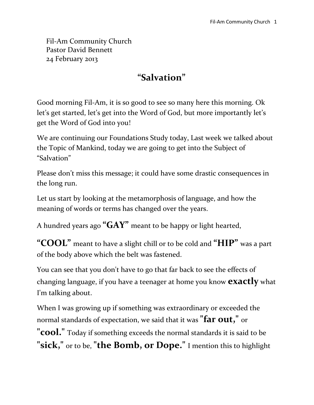Fil-Am Community Church Pastor David Bennett 24 February 2013

#### **"Salvation"**

Good morning Fil-Am, it is so good to see so many here this morning. Ok let's get started, let's get into the Word of God, but more importantly let's get the Word of God into you!

We are continuing our Foundations Study today, Last week we talked about the Topic of Mankind, today we are going to get into the Subject of "Salvation"

Please don't miss this message; it could have some drastic consequences in the long run.

Let us start by looking at the metamorphosis of language, and how the meaning of words or terms has changed over the years.

A hundred years ago **"GAY"** meant to be happy or light hearted,

**"COOL"** meant to have a slight chill or to be cold and **"HIP"** was a part of the body above which the belt was fastened.

You can see that you don't have to go that far back to see the effects of changing language, if you have a teenager at home you know **exactly** what I'm talking about.

When I was growing up if something was extraordinary or exceeded the normal standards of expectation, we said that it was **"far out,"** or

**"cool."** Today if something exceeds the normal standards it is said to be **"sick,"** or to be, **"the Bomb, or Dope."** I mention this to highlight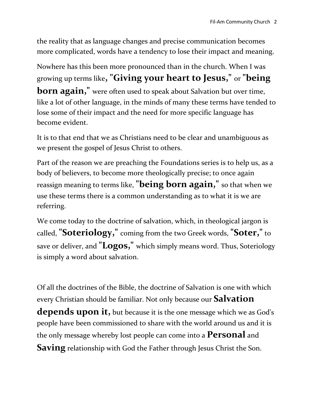the reality that as language changes and precise communication becomes more complicated, words have a tendency to lose their impact and meaning.

Nowhere has this been more pronounced than in the church. When I was growing up terms like**, "Giving your heart to Jesus,"** or **"being born again,**" were often used to speak about Salvation but over time, like a lot of other language, in the minds of many these terms have tended to lose some of their impact and the need for more specific language has become evident.

It is to that end that we as Christians need to be clear and unambiguous as we present the gospel of Jesus Christ to others.

Part of the reason we are preaching the Foundations series is to help us, as a body of believers, to become more theologically precise; to once again reassign meaning to terms like, **"being born again,"** so that when we use these terms there is a common understanding as to what it is we are referring.

We come today to the doctrine of salvation, which, in theological jargon is called, **"Soteriology,"** coming from the two Greek words, **"Soter,"** to save or deliver, and **"Logos,"** which simply means word. Thus, Soteriology is simply a word about salvation.

Of all the doctrines of the Bible, the doctrine of Salvation is one with which every Christian should be familiar. Not only because our **Salvation depends upon it,** but because it is the one message which we as God's people have been commissioned to share with the world around us and it is the only message whereby lost people can come into a **Personal** and **Saving** relationship with God the Father through Jesus Christ the Son.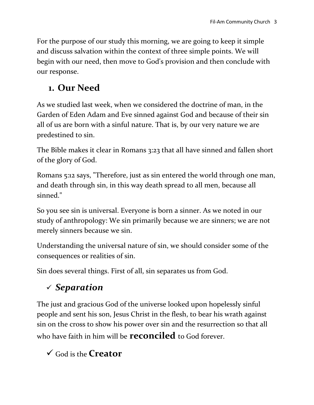For the purpose of our study this morning, we are going to keep it simple and discuss salvation within the context of three simple points. We will begin with our need, then move to God's provision and then conclude with our response.

## **1. Our Need**

As we studied last week, when we considered the doctrine of man, in the Garden of Eden Adam and Eve sinned against God and because of their sin all of us are born with a sinful nature. That is, by our very nature we are predestined to sin.

The Bible makes it clear in Romans 3:23 that all have sinned and fallen short of the glory of God.

Romans 5:12 says, "Therefore, just as sin entered the world through one man, and death through sin, in this way death spread to all men, because all sinned."

So you see sin is universal. Everyone is born a sinner. As we noted in our study of anthropology: We sin primarily because we are sinners; we are not merely sinners because we sin.

Understanding the universal nature of sin, we should consider some of the consequences or realities of sin.

Sin does several things. First of all, sin separates us from God.

# *Separation*

The just and gracious God of the universe looked upon hopelessly sinful people and sent his son, Jesus Christ in the flesh, to bear his wrath against sin on the cross to show his power over sin and the resurrection so that all who have faith in him will be **reconciled** to God forever.

God is the **Creator**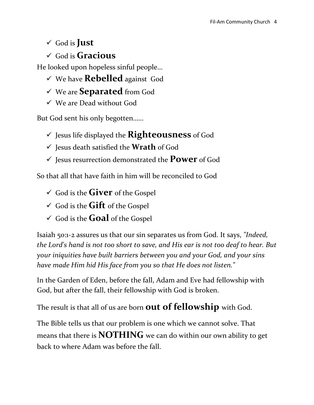#### God is **Just**

God is **Gracious**

He looked upon hopeless sinful people…

- We have **Rebelled** against God
- We are **Separated** from God
- We are Dead without God

But God sent his only begotten……

- $\checkmark$  Jesus life displayed the **Righteousness** of God
- Jesus death satisfied the **Wrath** of God
- Jesus resurrection demonstrated the **Power** of God

So that all that have faith in him will be reconciled to God

- God is the **Giver** of the Gospel
- $\checkmark$  God is the **Gift** of the Gospel
- $\checkmark$  God is the **Goal** of the Gospel

Isaiah 50:1-2 assures us that our sin separates us from God. It says, *"Indeed, the Lord's hand is not too short to save, and His ear is not too deaf to hear. But your iniquities have built barriers between you and your God, and your sins have made Him hid His face from you so that He does not listen."*

In the Garden of Eden, before the fall, Adam and Eve had fellowship with God, but after the fall, their fellowship with God is broken.

The result is that all of us are born **out of fellowship** with God.

The Bible tells us that our problem is one which we cannot solve. That means that there is **NOTHING** we can do within our own ability to get back to where Adam was before the fall.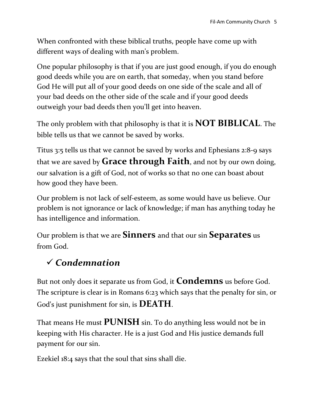When confronted with these biblical truths, people have come up with different ways of dealing with man's problem.

One popular philosophy is that if you are just good enough, if you do enough good deeds while you are on earth, that someday, when you stand before God He will put all of your good deeds on one side of the scale and all of your bad deeds on the other side of the scale and if your good deeds outweigh your bad deeds then you'll get into heaven.

The only problem with that philosophy is that it is **NOT BIBLICAL**. The bible tells us that we cannot be saved by works.

Titus 3:5 tells us that we cannot be saved by works and Ephesians 2:8-9 says that we are saved by **Grace through Faith**, and not by our own doing, our salvation is a gift of God, not of works so that no one can boast about how good they have been.

Our problem is not lack of self-esteem, as some would have us believe. Our problem is not ignorance or lack of knowledge; if man has anything today he has intelligence and information.

Our problem is that we are **Sinners** and that our sin **Separates** us from God.

# *Condemnation*

But not only does it separate us from God, it **Condemns** us before God. The scripture is clear is in Romans 6:23 which says that the penalty for sin, or God's just punishment for sin, is **DEATH**.

That means He must **PUNISH** sin. To do anything less would not be in keeping with His character. He is a just God and His justice demands full payment for our sin.

Ezekiel 18:4 says that the soul that sins shall die.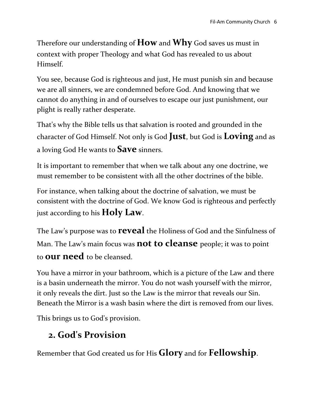Therefore our understanding of **How** and **Why** God saves us must in context with proper Theology and what God has revealed to us about Himself.

You see, because God is righteous and just, He must punish sin and because we are all sinners, we are condemned before God. And knowing that we cannot do anything in and of ourselves to escape our just punishment, our plight is really rather desperate.

That's why the Bible tells us that salvation is rooted and grounded in the character of God Himself. Not only is God **Just**, but God is **Loving** and as a loving God He wants to **Save** sinners.

It is important to remember that when we talk about any one doctrine, we must remember to be consistent with all the other doctrines of the bible.

For instance, when talking about the doctrine of salvation, we must be consistent with the doctrine of God. We know God is righteous and perfectly just according to his **Holy Law**.

The Law's purpose was to **reveal** the Holiness of God and the Sinfulness of Man. The Law's main focus was **not to cleanse** people; it was to point to **our need** to be cleansed.

You have a mirror in your bathroom, which is a picture of the Law and there is a basin underneath the mirror. You do not wash yourself with the mirror, it only reveals the dirt. Just so the Law is the mirror that reveals our Sin. Beneath the Mirror is a wash basin where the dirt is removed from our lives.

This brings us to God's provision.

### **2. God's Provision**

Remember that God created us for His **Glory** and for **Fellowship**.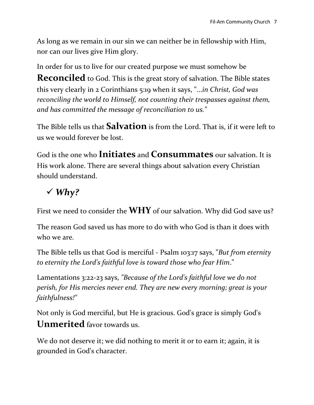As long as we remain in our sin we can neither be in fellowship with Him, nor can our lives give Him glory.

In order for us to live for our created purpose we must somehow be **Reconciled** to God. This is the great story of salvation. The Bible states this very clearly in 2 Corinthians 5:19 when it says, "...*in Christ, God was reconciling the world to Himself, not counting their trespasses against them, and has committed the message of reconciliation to us."*

The Bible tells us that **Salvation** is from the Lord. That is, if it were left to us we would forever be lost.

God is the one who **Initiates** and **Consummates** our salvation. It is His work alone. There are several things about salvation every Christian should understand.

# *Why?*

First we need to consider the **WHY** of our salvation. Why did God save us?

The reason God saved us has more to do with who God is than it does with who we are.

The Bible tells us that God is merciful - Psalm 103:17 says, "*But from eternity to eternity the Lord's faithful love is toward those who fear Him*."

Lamentations 3:22-23 says, *"Because of the Lord's faithful love we do not perish, for His mercies never end. They are new every morning; great is your faithfulness!"*

Not only is God merciful, but He is gracious. God's grace is simply God's **Unmerited** favor towards us.

We do not deserve it; we did nothing to merit it or to earn it; again, it is grounded in God's character.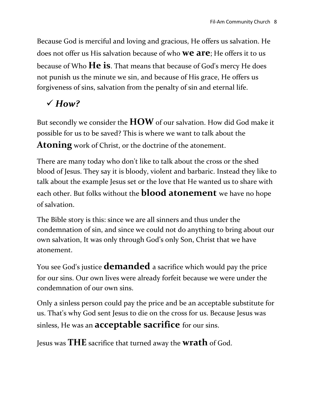Because God is merciful and loving and gracious, He offers us salvation. He does not offer us His salvation because of who **we are**; He offers it to us because of Who **He is**. That means that because of God's mercy He does not punish us the minute we sin, and because of His grace, He offers us forgiveness of sins, salvation from the penalty of sin and eternal life.

### *How?*

But secondly we consider the **HOW** of our salvation. How did God make it possible for us to be saved? This is where we want to talk about the **Atoning** work of Christ, or the doctrine of the atonement.

There are many today who don't like to talk about the cross or the shed blood of Jesus. They say it is bloody, violent and barbaric. Instead they like to talk about the example Jesus set or the love that He wanted us to share with each other. But folks without the **blood atonement** we have no hope of salvation.

The Bible story is this: since we are all sinners and thus under the condemnation of sin, and since we could not do anything to bring about our own salvation, It was only through God's only Son, Christ that we have atonement.

You see God's justice **demanded** a sacrifice which would pay the price for our sins. Our own lives were already forfeit because we were under the condemnation of our own sins.

Only a sinless person could pay the price and be an acceptable substitute for us. That's why God sent Jesus to die on the cross for us. Because Jesus was sinless, He was an **acceptable sacrifice** for our sins.

Jesus was **THE** sacrifice that turned away the **wrath** of God.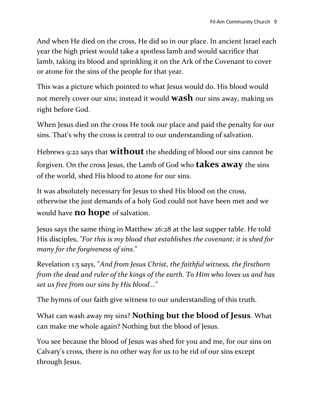And when He died on the cross, He did so in our place. In ancient Israel each year the high priest would take a spotless lamb and would sacrifice that lamb, taking its blood and sprinkling it on the Ark of the Covenant to cover or atone for the sins of the people for that year.

This was a picture which pointed to what Jesus would do. His blood would not merely cover our sins; instead it would **wash** our sins away, making us right before God.

When Jesus died on the cross He took our place and paid the penalty for our sins. That's why the cross is central to our understanding of salvation.

Hebrews 9:22 says that **without**the shedding of blood our sins cannot be forgiven. On the cross Jesus, the Lamb of God who **takes away** the sins of the world, shed His blood to atone for our sins.

It was absolutely necessary for Jesus to shed His blood on the cross, otherwise the just demands of a holy God could not have been met and we would have **no hope** of salvation.

Jesus says the same thing in Matthew 26:28 at the last supper table. He told His disciples, *"For this is my blood that establishes the covenant; it is shed for many for the forgiveness of sins*."

Revelation 1:5 says, "*And from Jesus Christ, the faithful witness, the firstborn from the dead and ruler of the kings of the earth. To Him who loves us and has set us free from our sins by His blood..."*

The hymns of our faith give witness to our understanding of this truth.

What can wash away my sins? **Nothing but the blood of Jesus**. What can make me whole again? Nothing but the blood of Jesus.

You see because the blood of Jesus was shed for you and me, for our sins on Calvary's cross, there is no other way for us to be rid of our sins except through Jesus.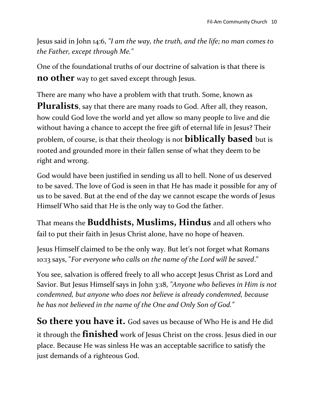Jesus said in John 14:6, *"I am the way, the truth, and the life; no man comes to the Father, except through Me."*

One of the foundational truths of our doctrine of salvation is that there is **no other** way to get saved except through Jesus.

There are many who have a problem with that truth. Some, known as **Pluralists**, say that there are many roads to God. After all, they reason, how could God love the world and yet allow so many people to live and die without having a chance to accept the free gift of eternal life in Jesus? Their problem, of course, is that their theology is not **biblically based** but is rooted and grounded more in their fallen sense of what they deem to be right and wrong.

God would have been justified in sending us all to hell. None of us deserved to be saved. The love of God is seen in that He has made it possible for any of us to be saved. But at the end of the day we cannot escape the words of Jesus Himself Who said that He is the only way to God the father.

That means the **Buddhists, Muslims, Hindus** and all others who fail to put their faith in Jesus Christ alone, have no hope of heaven.

Jesus Himself claimed to be the only way. But let's not forget what Romans 10:13 says, "*For everyone who calls on the name of the Lord will be saved*."

You see, salvation is offered freely to all who accept Jesus Christ as Lord and Savior. But Jesus Himself says in John 3:18, *"Anyone who believes in Him is not condemned, but anyone who does not believe is already condemned, because he has not believed in the name of the One and Only Son of God."*

**So there you have it.** God saves us because of Who He is and He did it through the **finished** work of Jesus Christ on the cross. Jesus died in our place. Because He was sinless He was an acceptable sacrifice to satisfy the just demands of a righteous God.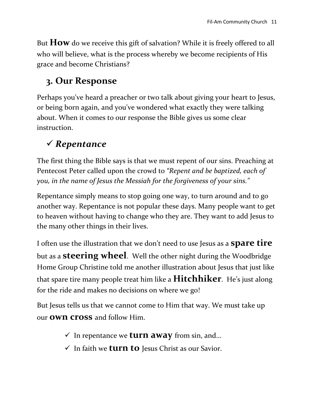But **How** do we receive this gift of salvation? While it is freely offered to all who will believe, what is the process whereby we become recipients of His grace and become Christians?

# **3. Our Response**

Perhaps you've heard a preacher or two talk about giving your heart to Jesus, or being born again, and you've wondered what exactly they were talking about. When it comes to our response the Bible gives us some clear instruction.

# *Repentance*

The first thing the Bible says is that we must repent of our sins. Preaching at Pentecost Peter called upon the crowd to *"Repent and be baptized, each of you, in the name of Jesus the Messiah for the forgiveness of your sins."*

Repentance simply means to stop going one way, to turn around and to go another way. Repentance is not popular these days. Many people want to get to heaven without having to change who they are. They want to add Jesus to the many other things in their lives.

I often use the illustration that we don't need to use Jesus as a **spare tire**  but as a **steering wheel**. Well the other night during the Woodbridge Home Group Christine told me another illustration about Jesus that just like that spare tire many people treat him like a **Hitchhiker**. He's just along for the ride and makes no decisions on where we go!

But Jesus tells us that we cannot come to Him that way. We must take up our **own cross** and follow Him.

- $\checkmark$  In repentance we **turn away** from sin, and...
- $\checkmark$  In faith we **turn to** Jesus Christ as our Savior.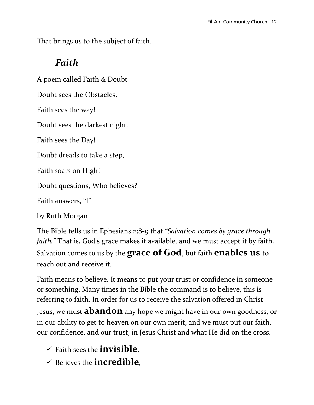That brings us to the subject of faith.

#### *Faith*

A poem called Faith & Doubt Doubt sees the Obstacles, Faith sees the way! Doubt sees the darkest night, Faith sees the Day! Doubt dreads to take a step, Faith soars on High! Doubt questions, Who believes? Faith answers, "I"

by Ruth Morgan

The Bible tells us in Ephesians 2:8-9 that *"Salvation comes by grace through faith."* That is, God's grace makes it available, and we must accept it by faith. Salvation comes to us by the **grace of God**, but faith **enables us** to reach out and receive it.

Faith means to believe. It means to put your trust or confidence in someone or something. Many times in the Bible the command is to believe, this is referring to faith. In order for us to receive the salvation offered in Christ Jesus, we must **abandon** any hope we might have in our own goodness, or in our ability to get to heaven on our own merit, and we must put our faith, our confidence, and our trust, in Jesus Christ and what He did on the cross.

- Faith sees the **invisible**,
- Believes the **incredible**,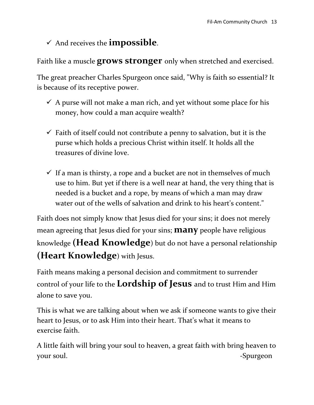#### And receives the **impossible**.

Faith like a muscle **grows stronger** only when stretched and exercised.

The great preacher Charles Spurgeon once said, "Why is faith so essential? It is because of its receptive power.

- $\checkmark$  A purse will not make a man rich, and yet without some place for his money, how could a man acquire wealth?
- $\checkmark$  Faith of itself could not contribute a penny to salvation, but it is the purse which holds a precious Christ within itself. It holds all the treasures of divine love.
- $\checkmark$  If a man is thirsty, a rope and a bucket are not in themselves of much use to him. But yet if there is a well near at hand, the very thing that is needed is a bucket and a rope, by means of which a man may draw water out of the wells of salvation and drink to his heart's content."

Faith does not simply know that Jesus died for your sins; it does not merely mean agreeing that Jesus died for your sins; **many** people have religious knowledge **(Head Knowledge**) but do not have a personal relationship **(Heart Knowledge**) with Jesus.

Faith means making a personal decision and commitment to surrender control of your life to the **Lordship of Jesus** and to trust Him and Him alone to save you.

This is what we are talking about when we ask if someone wants to give their heart to Jesus, or to ask Him into their heart. That's what it means to exercise faith.

A little faith will bring your soul to heaven, a great faith with bring heaven to your soul. Spurgeon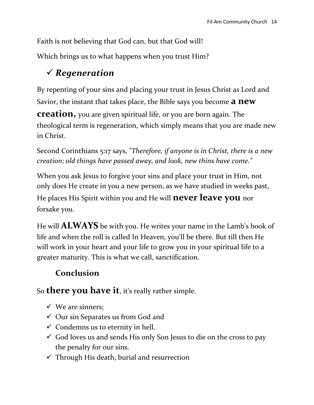Faith is not believing that God can, but that God will!

Which brings us to what happens when you trust Him?

## *Regeneration*

By repenting of your sins and placing your trust in Jesus Christ as Lord and Savior, the instant that takes place, the Bible says you become **a new** 

**creation,** you are given spiritual life, or you are born again. The theological term is regeneration, which simply means that you are made new in Christ.

Second Corinthians 5:17 says, *"Therefore, if anyone is in Christ, there is a new creation; old things have passed away, and look, new thins have come."*

When you ask Jesus to forgive your sins and place your trust in Him, not only does He create in you a new person, as we have studied in weeks past, He places His Spirit within you and He will **never leave you** nor

forsake you.

He will **ALWAYS** be with you. He writes your name in the Lamb's book of life and when the roll is called In Heaven, you'll be there. But till then He will work in your heart and your life to grow you in your spiritual life to a greater maturity. This is what we call, sanctification.

### **Conclusion**

So **there you have it**, it's really rather simple.

- $\checkmark$  We are sinners;
- $\checkmark$  Our sin Separates us from God and
- $\checkmark$  Condemns us to eternity in hell.
- $\checkmark$  God loves us and sends His only Son Jesus to die on the cross to pay the penalty for our sins.
- $\checkmark$  Through His death, burial and resurrection